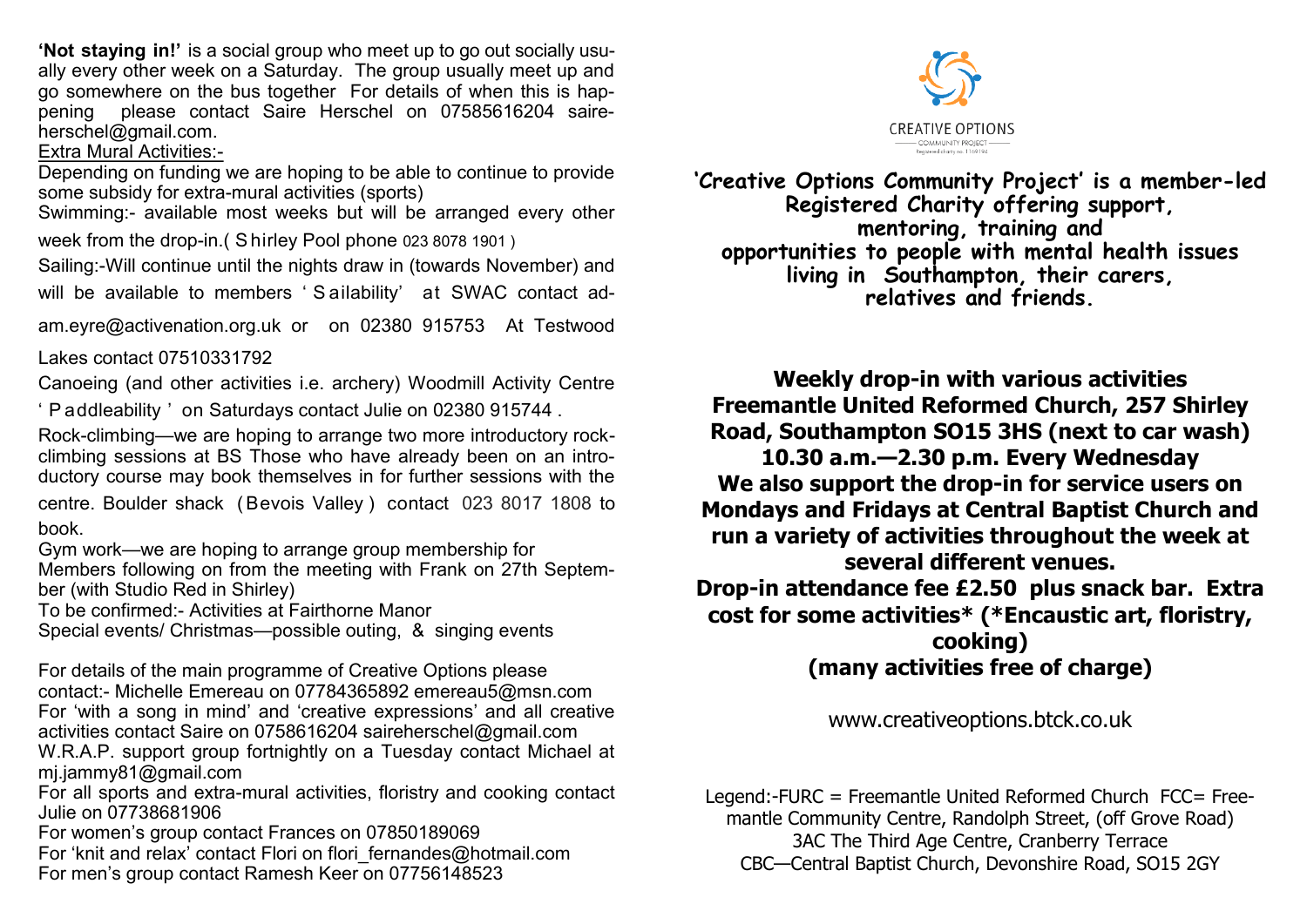**'Not staying in!'** is a social group who meet up to go out socially usually every other week on a Saturday. The group usually meet up and go somewhere on the bus together For details of when this is happening please contact Saire Herschel on 07585616204 saireherschel@gmail.com.

## Extra Mural Activities:-

Depending on funding we are hoping to be able to continue to provide some subsidy for extra-mural activities (sports)

Swimming:- available most weeks but will be arranged every other week from the drop-in.( S hirley Pool phone 023 8078 1901 )

Sailing:-Will continue until the nights draw in (towards November) and will be available to members 'Sailability' at SWAC contact ad-

am.eyre@activenation.org.uk or on 02380 915753 At Testwood

Lakes contact 07510331792

Canoeing (and other activities i.e. archery) Woodmill Activity Centre

' P addleability ' on Saturdays contact Julie on 02380 915744 .

Rock-climbing—we are hoping to arrange two more introductory rockclimbing sessions at BS Those who have already been on an introductory course may book themselves in for further sessions with the

centre. Boulder shack ( Bevois Valley ) contact 023 8017 1808 to book.

Gym work—we are hoping to arrange group membership for

Members following on from the meeting with Frank on 27th September (with Studio Red in Shirley)

To be confirmed:- Activities at Fairthorne Manor

Special events/ Christmas—possible outing, & singing events

For details of the main programme of Creative Options please contact:- Michelle Emereau on 07784365892 emereau5@msn.com For 'with a song in mind' and 'creative expressions' and all creative activities contact Saire on 0758616204 saireherschel@gmail.com W.R.A.P. support group fortnightly on a Tuesday contact Michael at mj.jammy81@gmail.com

For all sports and extra-mural activities, floristry and cooking contact Julie on 07738681906

For women's group contact Frances on 07850189069 For 'knit and relax' contact Flori on flori fernandes@hotmail.com For men's group contact Ramesh Keer on 07756148523



**'Creative Options Community Project' is a member-led Registered Charity offering support, mentoring, training and opportunities to people with mental health issues living in Southampton, their carers, relatives and friends.**

**Weekly drop-in with various activities Freemantle United Reformed Church, 257 Shirley Road, Southampton SO15 3HS (next to car wash) 10.30 a.m.—2.30 p.m. Every Wednesday We also support the drop-in for service users on Mondays and Fridays at Central Baptist Church and run a variety of activities throughout the week at several different venues. Drop-in attendance fee £2.50 plus snack bar. Extra cost for some activities\* (\*Encaustic art, floristry, cooking)** 

**(many activities free of charge)**

www.creativeoptions.btck.co.uk

Legend:-FURC = Freemantle United Reformed Church FCC= Freemantle Community Centre, Randolph Street, (off Grove Road) 3AC The Third Age Centre, Cranberry Terrace CBC—Central Baptist Church, Devonshire Road, SO15 2GY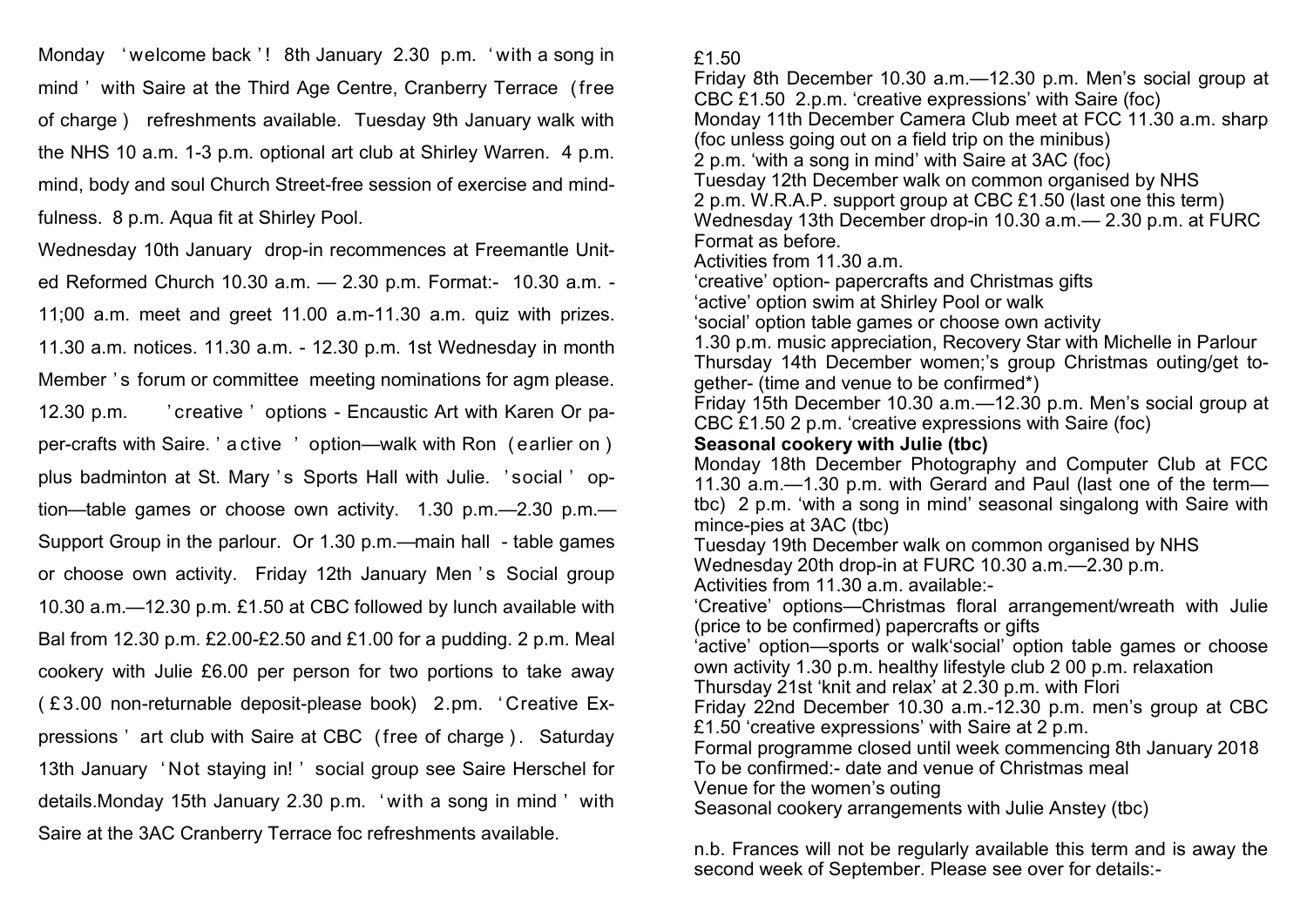Monday 'welcome back '! 8th January 2.30 p.m. 'with a song in mind ' with Saire at the Third Age Centre, Cranberry Terrace (free of charge ) refreshments available. Tuesday 9th January walk with the NHS 10 a.m. 1-3 p.m. optional art club at Shirley Warren. 4 p.m. mind, body and soul Church Street-free session of exercise and mindfulness. 8 p.m. Aqua fit at Shirley Pool.

Wednesday 10th January drop-in recommences at Freemantle United Reformed Church 10.30 a.m. — 2.30 p.m. Format:- 10.30 a.m. - 11;00 a.m. meet and greet 11.00 a.m-11.30 a.m. quiz with prizes. 11.30 a.m. notices. 11.30 a.m. - 12.30 p.m. 1st Wednesday in month Member 's forum or committee meeting nominations for agm please. 12.30 p.m. ' creative ' options - Encaustic Art with Karen Or paper-crafts with Saire. ' a ctive ' option—walk with Ron ( earlier on ) plus badminton at St. Mary 's Sports Hall with Julie. 'social ' option—table games or choose own activity. 1.30 p.m.—2.30 p.m.— Support Group in the parlour. Or 1.30 p.m.—main hall - table games or choose own activity. Friday 12th January Men 's Social group 10.30 a.m.—12.30 p.m. £1.50 at CBC followed by lunch available with Bal from 12.30 p.m. £2.00-£2.50 and £1.00 for a pudding. 2 p.m. Meal cookery with Julie £6.00 per person for two portions to take away ( £ 3.00 non-returnable deposit-please book) 2.pm. ' Creative Expressions ' art club with Saire at CBC (free of charge ) . Saturday 13th January ' Not staying in! ' social group see Saire Herschel for details.Monday 15th January 2.30 p.m. ' with a song in mind ' with Saire at the 3AC Cranberry Terrace foc refreshments available.

£1.50

Friday 8th December 10.30 a.m.—12.30 p.m. Men's social group at CBC £1.50 2.p.m. 'creative expressions' with Saire (foc) Monday 11th December Camera Club meet at FCC 11.30 a.m. sharp (foc unless going out on a field trip on the minibus) 2 p.m. 'with a song in mind' with Saire at 3AC (foc) Tuesday 12th December walk on common organised by NHS 2 p.m. W.R.A.P. support group at CBC £1.50 (last one this term) Wednesday 13th December drop-in 10.30 a.m.— 2.30 p.m. at FURC Format as before. Activities from 11.30 a.m. 'creative' option- papercrafts and Christmas gifts 'active' option swim at Shirley Pool or walk 'social' option table games or choose own activity 1.30 p.m. music appreciation, Recovery Star with Michelle in Parlour Thursday 14th December women;'s group Christmas outing/get together- (time and venue to be confirmed\*) Friday 15th December 10.30 a.m.—12.30 p.m. Men's social group at CBC £1.50 2 p.m. 'creative expressions with Saire (foc) **Seasonal cookery with Julie (tbc)** Monday 18th December Photography and Computer Club at FCC 11.30 a.m.—1.30 p.m. with Gerard and Paul (last one of the term tbc) 2 p.m. 'with a song in mind' seasonal singalong with Saire with mince-pies at 3AC (tbc) Tuesday 19th December walk on common organised by NHS Wednesday 20th drop-in at FURC 10.30 a.m.—2.30 p.m. Activities from 11.30 a.m. available:- 'Creative' options—Christmas floral arrangement/wreath with Julie (price to be confirmed) papercrafts or gifts 'active' option—sports or walk'social' option table games or choose own activity 1.30 p.m. healthy lifestyle club 2 00 p.m. relaxation Thursday 21st 'knit and relax' at 2.30 p.m. with Flori Friday 22nd December 10.30 a.m.-12.30 p.m. men's group at CBC £1.50 'creative expressions' with Saire at 2 p.m. Formal programme closed until week commencing 8th January 2018 To be confirmed:- date and venue of Christmas meal Venue for the women's outing Seasonal cookery arrangements with Julie Anstey (tbc)

n.b. Frances will not be regularly available this term and is away the second week of September. Please see over for details:-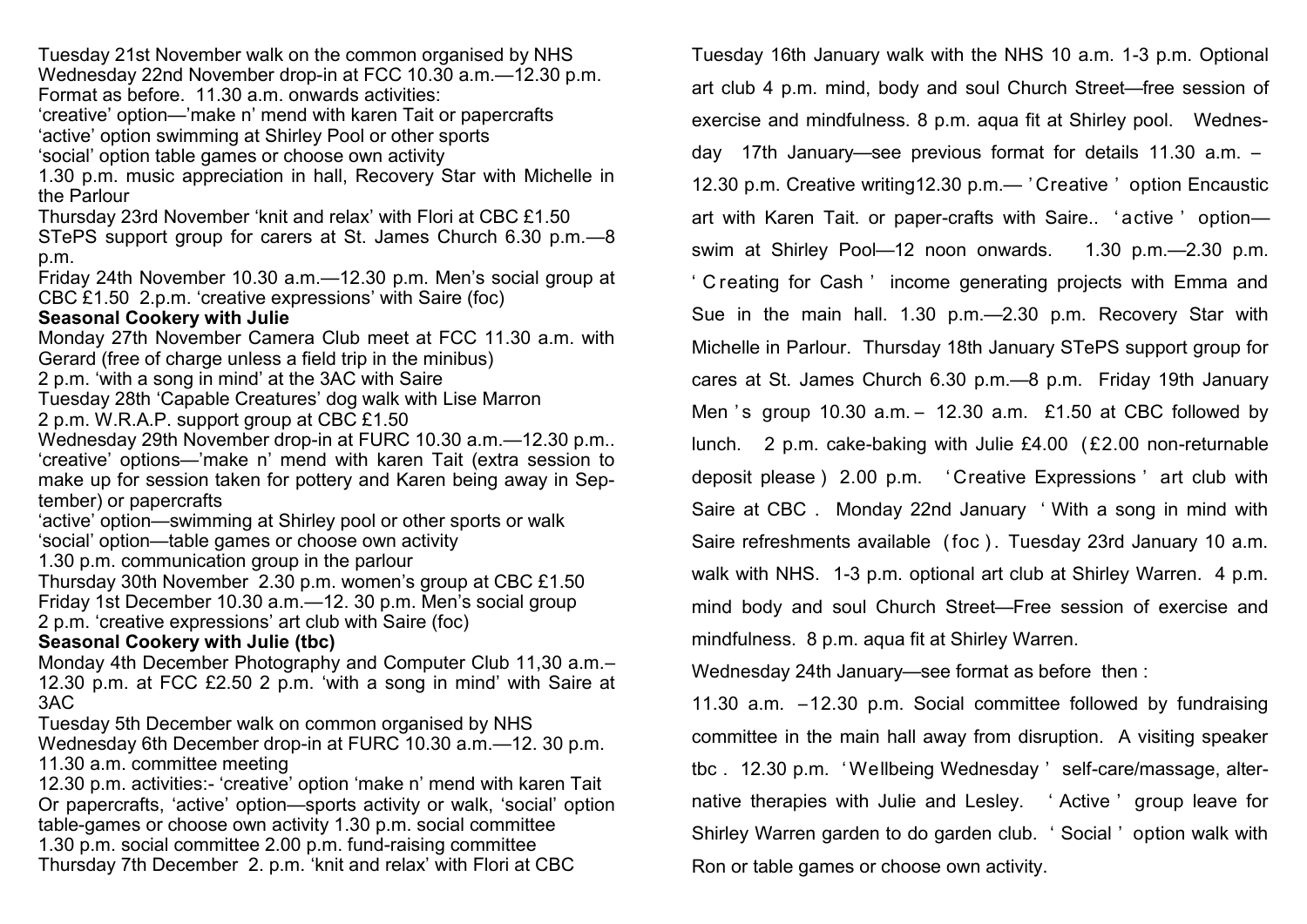Tuesday 21st November walk on the common organised by NHS Wednesday 22nd November drop-in at FCC 10.30 a.m.—12.30 p.m. Format as before. 11.30 a.m. onwards activities:

'creative' option—'make n' mend with karen Tait or papercrafts 'active' option swimming at Shirley Pool or other sports 'social' option table games or choose own activity

1.30 p.m. music appreciation in hall, Recovery Star with Michelle in the Parlour

Thursday 23rd November 'knit and relax' with Flori at CBC £1.50

STePS support group for carers at St. James Church 6.30 p.m.—8 p.m.

Friday 24th November 10.30 a.m.—12.30 p.m. Men's social group at CBC £1.50 2.p.m. 'creative expressions' with Saire (foc)

## **Seasonal Cookery with Julie**

Monday 27th November Camera Club meet at FCC 11.30 a.m. with Gerard (free of charge unless a field trip in the minibus)

2 p.m. 'with a song in mind' at the 3AC with Saire

Tuesday 28th 'Capable Creatures' dog walk with Lise Marron 2 p.m. W.R.A.P. support group at CBC £1.50

Wednesday 29th November drop-in at FURC 10.30 a.m.—12.30 p.m.. 'creative' options—'make n' mend with karen Tait (extra session to make up for session taken for pottery and Karen being away in September) or papercrafts

'active' option—swimming at Shirley pool or other sports or walk 'social' option—table games or choose own activity

1.30 p.m. communication group in the parlour

Thursday 30th November 2.30 p.m. women's group at CBC £1.50 Friday 1st December 10.30 a.m.—12. 30 p.m. Men's social group 2 p.m. 'creative expressions' art club with Saire (foc)

## **Seasonal Cookery with Julie (tbc)**

Monday 4th December Photography and Computer Club 11,30 a.m.– 12.30 p.m. at FCC £2.50 2 p.m. 'with a song in mind' with Saire at 3AC

Tuesday 5th December walk on common organised by NHS Wednesday 6th December drop-in at FURC 10.30 a.m.—12. 30 p.m. 11.30 a.m. committee meeting

12.30 p.m. activities:- 'creative' option 'make n' mend with karen Tait Or papercrafts, 'active' option—sports activity or walk, 'social' option table-games or choose own activity 1.30 p.m. social committee 1.30 p.m. social committee 2.00 p.m. fund-raising committee Thursday 7th December 2. p.m. 'knit and relax' with Flori at CBC

Tuesday 16th January walk with the NHS 10 a.m. 1-3 p.m. Optional art club 4 p.m. mind, body and soul Church Street—free session of exercise and mindfulness. 8 p.m. aqua fit at Shirley pool. Wednesday 17th January—see previous format for details 11.30 a.m. – 12.30 p.m. Creative writing12.30 p.m.— ' Creative ' option Encaustic art with Karen Tait. or paper-crafts with Saire.. ' active ' option swim at Shirley Pool—12 noon onwards. 1.30 p.m.—2.30 p.m. ' C reating for Cash ' income generating projects with Emma and Sue in the main hall. 1.30 p.m.—2.30 p.m. Recovery Star with Michelle in Parlour. Thursday 18th January STePS support group for cares at St. James Church 6.30 p.m.—8 p.m. Friday 19th January Men 's group 10.30 a.m.  $-$  12.30 a.m. £1.50 at CBC followed by lunch. 2 p.m. cake-baking with Julie £4.00 ( £2.00 non-returnable deposit please ) 2.00 p.m. ' Creative Expressions ' art club with Saire at CBC . Monday 22nd January ' With a song in mind with Saire refreshments available (foc). Tuesday 23rd January 10 a.m. walk with NHS. 1-3 p.m. optional art club at Shirley Warren. 4 p.m. mind body and soul Church Street—Free session of exercise and mindfulness. 8 p.m. aqua fit at Shirley Warren.

Wednesday 24th January—see format as before then :

11.30 a.m. –12.30 p.m. Social committee followed by fundraising committee in the main hall away from disruption. A visiting speaker tbc . 12.30 p.m. ' Wellbeing Wednesday ' self-care/massage, alternative therapies with Julie and Lesley. ' Active ' group leave for Shirley Warren garden to do garden club. ' Social ' option walk with Ron or table games or choose own activity.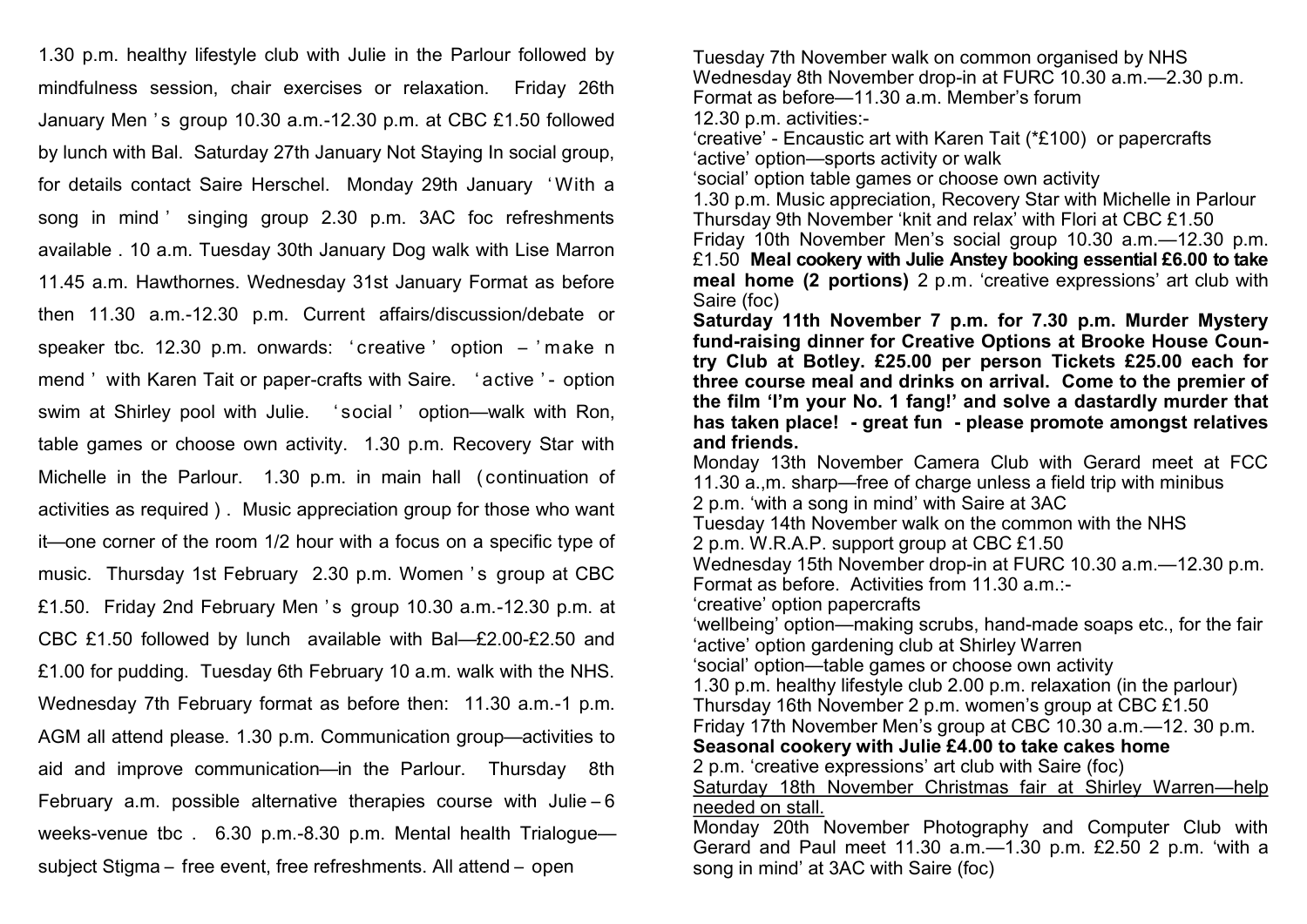1.30 p.m. healthy lifestyle club with Julie in the Parlour followed by mindfulness session, chair exercises or relaxation. Friday 26th January Men 's group 10.30 a.m.-12.30 p.m. at CBC £1.50 followed by lunch with Bal. Saturday 27th January Not Staying In social group, for details contact Saire Herschel. Monday 29th January ' With a song in mind ' singing group 2.30 p.m. 3AC foc refreshments available . 10 a.m. Tuesday 30th January Dog walk with Lise Marron 11.45 a.m. Hawthornes. Wednesday 31st January Format as before then 11.30 a.m.-12.30 p.m. Current affairs/discussion/debate or speaker tbc. 12.30 p.m. onwards: ' creative ' option – ' make n mend ' with Karen Tait or paper-crafts with Saire. 'active '- option swim at Shirley pool with Julie. ' social ' option—walk with Ron, table games or choose own activity. 1.30 p.m. Recovery Star with Michelle in the Parlour. 1.30 p.m. in main hall (continuation of activities as required ) . Music appreciation group for those who want it—one corner of the room 1/2 hour with a focus on a specific type of music. Thursday 1st February 2.30 p.m. Women 's group at CBC £1.50. Friday 2nd February Men 's group  $10.30$  a.m.  $-12.30$  p.m. at CBC £1.50 followed by lunch available with Bal—£2.00-£2.50 and £1.00 for pudding. Tuesday 6th February 10 a.m. walk with the NHS. Wednesday 7th February format as before then: 11.30 a.m.-1 p.m. AGM all attend please. 1.30 p.m. Communication group—activities to aid and improve communication—in the Parlour. Thursday 8th February a.m. possible alternative therapies course with Julie – 6 weeks-venue tbc . 6.30 p.m.-8.30 p.m. Mental health Trialogue subject Stigma – free event, free refreshments. All attend – open

12.30 p.m. activities:- 'creative' - Encaustic art with Karen Tait (\*£100) or papercrafts 'active' option—sports activity or walk 'social' option table games or choose own activity 1.30 p.m. Music appreciation, Recovery Star with Michelle in Parlour Thursday 9th November 'knit and relax' with Flori at CBC £1.50 Friday 10th November Men's social group 10.30 a.m.—12.30 p.m. £1.50 **Meal cookery with Julie Anstey booking essential £6.00 to take meal home (2 portions)** 2 p.m. 'creative expressions' art club with Saire (foc) **Saturday 11th November 7 p.m. for 7.30 p.m. Murder Mystery fund-raising dinner for Creative Options at Brooke House Country Club at Botley. £25.00 per person Tickets £25.00 each for three course meal and drinks on arrival. Come to the premier of the film 'I'm your No. 1 fang!' and solve a dastardly murder that has taken place! - great fun - please promote amongst relatives and friends.**  Monday 13th November Camera Club with Gerard meet at FCC 11.30 a.,m. sharp—free of charge unless a field trip with minibus 2 p.m. 'with a song in mind' with Saire at 3AC Tuesday 14th November walk on the common with the NHS 2 p.m. W.R.A.P. support group at CBC £1.50 Wednesday 15th November drop-in at FURC 10.30 a.m.—12.30 p.m. Format as before. Activities from 11.30 a.m.:- 'creative' option papercrafts 'wellbeing' option—making scrubs, hand-made soaps etc., for the fair 'active' option gardening club at Shirley Warren 'social' option—table games or choose own activity 1.30 p.m. healthy lifestyle club 2.00 p.m. relaxation (in the parlour) Thursday 16th November 2 p.m. women's group at CBC £1.50 Friday 17th November Men's group at CBC 10.30 a.m.—12. 30 p.m. **Seasonal cookery with Julie £4.00 to take cakes home**  2 p.m. 'creative expressions' art club with Saire (foc) Saturday 18th November Christmas fair at Shirley Warren—help needed on stall. Monday 20th November Photography and Computer Club with Gerard and Paul meet 11.30 a.m.—1.30 p.m. £2.50 2 p.m. 'with a

Tuesday 7th November walk on common organised by NHS

Format as before—11.30 a.m. Member's forum

song in mind' at 3AC with Saire (foc)

Wednesday 8th November drop-in at FURC 10.30 a.m.—2.30 p.m.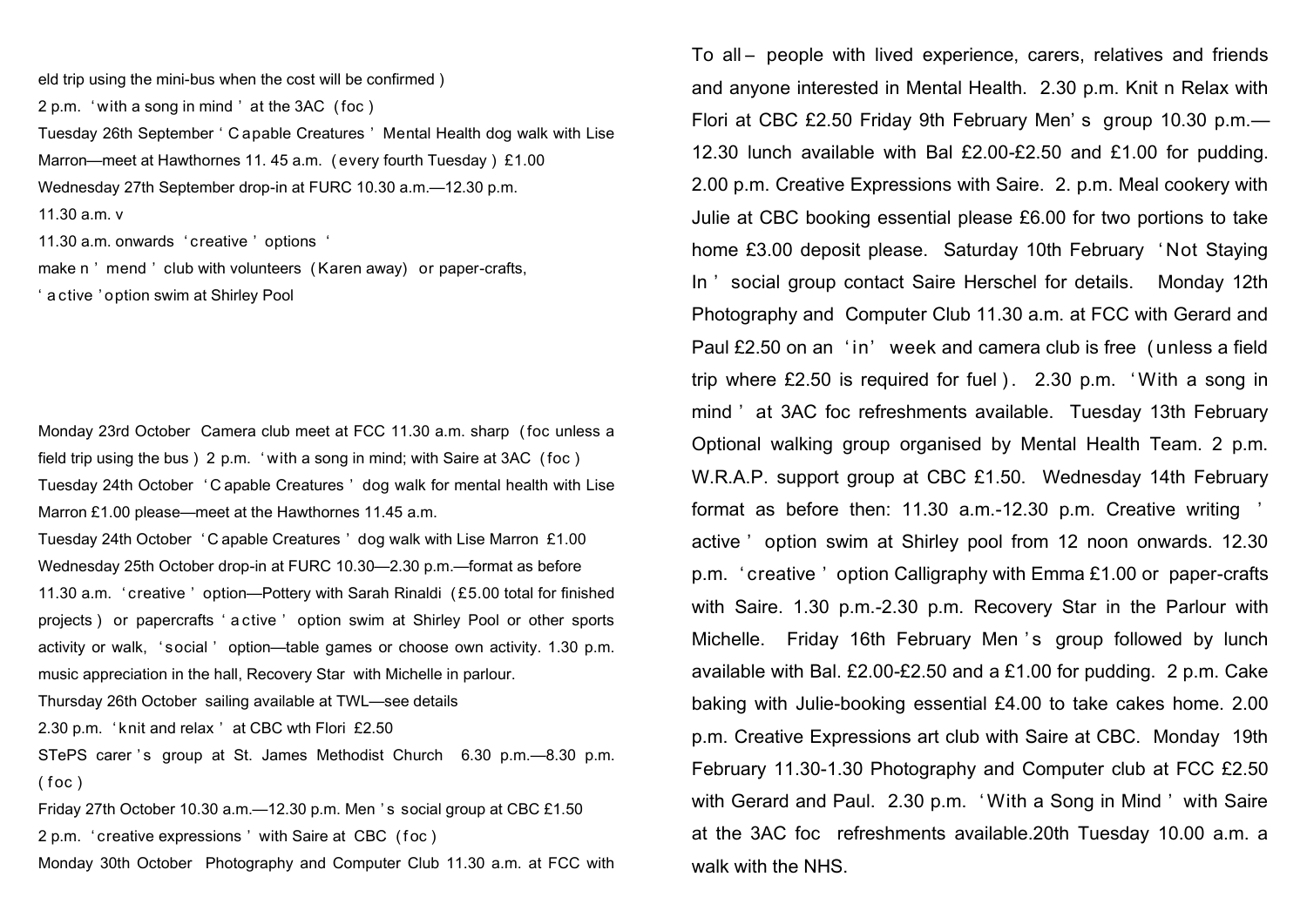eld trip using the mini-bus when the cost will be confirmed ) 2 p.m. ' with a song in mind ' at the 3AC ( foc ) Tuesday 26th September ' C apable Creatures ' Mental Health dog walk with Lise Marron—meet at Hawthornes 11. 45 a.m. (every fourth Tuesday) £1.00 Wednesday 27th September drop-in at FURC 10.30 a.m.—12.30 p.m. 11.30 a.m. v 11.30 a.m. onwards ' creative ' options ' make n' mend' club with volunteers (Karen away) or paper-crafts,

' a ctive ' option swim at Shirley Pool

Monday 23rd October Camera club meet at FCC 11.30 a.m. sharp ( foc unless a field trip using the bus ) 2 p.m. ' with a song in mind; with Saire at 3AC ( foc ) Tuesday 24th October ' C apable Creatures ' dog walk for mental health with Lise Marron £1.00 please—meet at the Hawthornes 11.45 a.m.

Tuesday 24th October ' C apable Creatures ' dog walk with Lise Marron £1.00 Wednesday 25th October drop-in at FURC 10.30—2.30 p.m.—format as before 11.30 a.m. ' creative ' option—Pottery with Sarah Rinaldi ( £5.00 total for finished projects ) or papercrafts ' a ctive ' option swim at Shirley Pool or other sports activity or walk, ' social ' option—table games or choose own activity. 1.30 p.m. music appreciation in the hall, Recovery Star with Michelle in parlour.

Thursday 26th October sailing available at TWL—see details

2.30 p.m. ' knit and relax ' at CBC wth Flori £2.50

STePS carer 's group at St. James Methodist Church 6.30 p.m.—8.30 p.m.  $($  f oc  $)$ 

Friday 27th October 10.30 a.m.—12.30 p.m. Men ' s social group at CBC £1.50 2 p.m. 'creative expressions' with Saire at CBC (foc) Monday 30th October Photography and Computer Club 11.30 a.m. at FCC with To all – people with lived experience, carers, relatives and friends and anyone interested in Mental Health. 2.30 p.m. Knit n Relax with Flori at CBC £2.50 Friday 9th February Men' s group 10.30 p.m.— 12.30 lunch available with Bal £2.00-£2.50 and £1.00 for pudding. 2.00 p.m. Creative Expressions with Saire. 2. p.m. Meal cookery with Julie at CBC booking essential please £6.00 for two portions to take home £3.00 deposit please. Saturday 10th February ' Not Staying In ' social group contact Saire Herschel for details. Monday 12th Photography and Computer Club 11.30 a.m. at FCC with Gerard and Paul £2.50 on an 'in' week and camera club is free (unless a field trip where  $£2.50$  is required for fuel  $).$  2.30 p.m. 'With a song in mind ' at 3AC foc refreshments available. Tuesday 13th February Optional walking group organised by Mental Health Team. 2 p.m. W.R.A.P. support group at CBC £1.50. Wednesday 14th February format as before then: 11.30 a.m.-12.30 p.m. Creative writing ' active ' option swim at Shirley pool from 12 noon onwards. 12.30 p.m. ' creative ' option Calligraphy with Emma £1.00 or paper-crafts with Saire. 1.30 p.m.-2.30 p.m. Recovery Star in the Parlour with Michelle. Friday 16th February Men 's group followed by lunch available with Bal. £2.00-£2.50 and a £1.00 for pudding. 2 p.m. Cake baking with Julie-booking essential £4.00 to take cakes home. 2.00 p.m. Creative Expressions art club with Saire at CBC. Monday 19th February 11.30-1.30 Photography and Computer club at FCC £2.50 with Gerard and Paul. 2.30 p.m. ' With a Song in Mind ' with Saire at the 3AC foc refreshments available.20th Tuesday 10.00 a.m. a

walk with the NHS